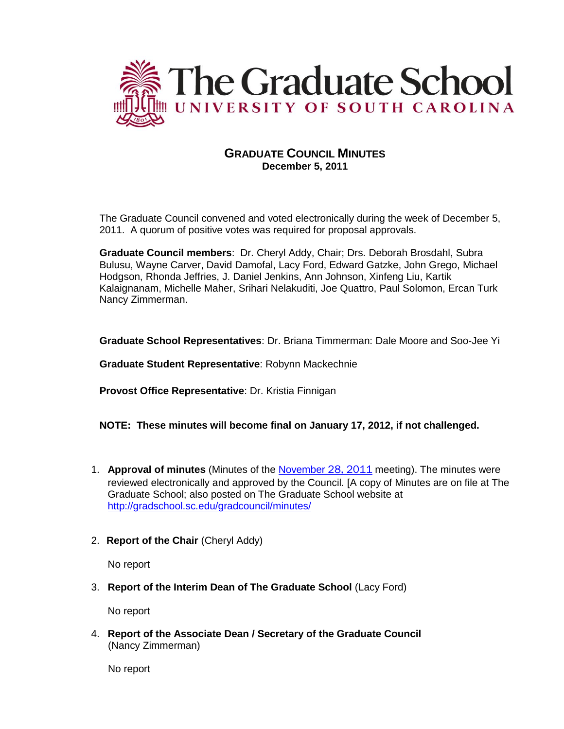

# **GRADUATE COUNCIL MINUTES December 5, 2011**

The Graduate Council convened and voted electronically during the week of December 5, 2011. A quorum of positive votes was required for proposal approvals.

**Graduate Council members**: Dr. Cheryl Addy, Chair; Drs. Deborah Brosdahl, Subra Bulusu, Wayne Carver, David Damofal, Lacy Ford, Edward Gatzke, John Grego, Michael Hodgson, Rhonda Jeffries, J. Daniel Jenkins, Ann Johnson, Xinfeng Liu, Kartik Kalaignanam, Michelle Maher, Srihari Nelakuditi, Joe Quattro, Paul Solomon, Ercan Turk Nancy Zimmerman.

**Graduate School Representatives**: Dr. Briana Timmerman: Dale Moore and Soo-Jee Yi

**Graduate Student Representative**: Robynn Mackechnie

**Provost Office Representative**: Dr. Kristia Finnigan

## **NOTE: These minutes will become final on January 17, 2012, if not challenged.**

- 1. **Approval of minutes** (Minutes of the [November](http://gradschool.sc.edu/gradcouncil/minutes/GCMinutes092611.pdf) 28, 2011 meeting). The minutes were reviewed electronically and approved by the Council. [A copy of Minutes are on file at The Graduate School; also posted on The Graduate School website at <http://gradschool.sc.edu/gradcouncil/minutes/>
- 2. **Report of the Chair** (Cheryl Addy)

No report

3. **Report of the Interim Dean of The Graduate School** (Lacy Ford)

No report

4. **Report of the Associate Dean / Secretary of the Graduate Council** (Nancy Zimmerman)

No report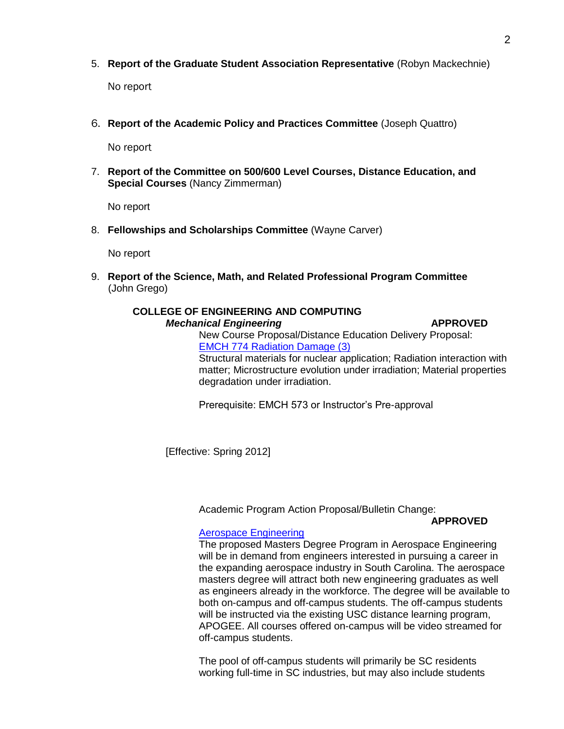5. **Report of the Graduate Student Association Representative** (Robyn Mackechnie)

No report

6. **Report of the Academic Policy and Practices Committee** (Joseph Quattro)

No report

7. **Report of the Committee on 500/600 Level Courses, Distance Education, and Special Courses** (Nancy Zimmerman)

No report

8. **Fellowships and Scholarships Committee** (Wayne Carver)

No report

9. **Report of the Science, Math, and Related Professional Program Committee** (John Grego)

# **COLLEGE OF ENGINEERING AND COMPUTING** *Mechanical Engineering* **APPROVED**

New Course Proposal/Distance Education Delivery Proposal: [EMCH 774 Radiation Damage \(3\)](http://gradschool.sc.edu/gradcouncil/curr_docs/NCPEMCH774_201141.pdf) Structural materials for nuclear application; Radiation interaction with matter; Microstructure evolution under irradiation; Material properties degradation under irradiation.

Prerequisite: EMCH 573 or Instructor's Pre-approval

[Effective: Spring 2012]

Academic Program Action Proposal/Bulletin Change:

## **APPROVED**

## [Aerospace Engineering](http://gradschool.sc.edu/gradcouncil/curr_docs/APAENGRASPACE_201141.PDF)

The proposed Masters Degree Program in Aerospace Engineering will be in demand from engineers interested in pursuing a career in the expanding aerospace industry in South Carolina. The aerospace masters degree will attract both new engineering graduates as well as engineers already in the workforce. The degree will be available to both on-campus and off-campus students. The off-campus students will be instructed via the existing USC distance learning program, APOGEE. All courses offered on-campus will be video streamed for off-campus students.

The pool of off-campus students will primarily be SC residents working full-time in SC industries, but may also include students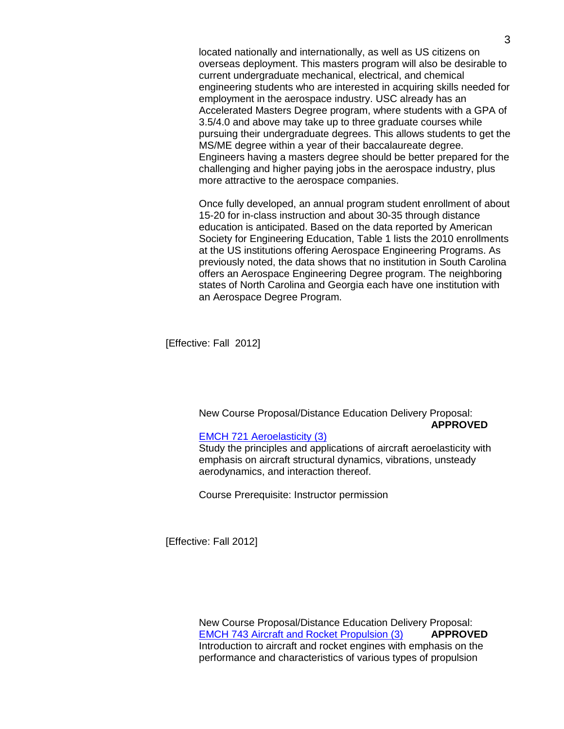located nationally and internationally, as well as US citizens on overseas deployment. This masters program will also be desirable to current undergraduate mechanical, electrical, and chemical engineering students who are interested in acquiring skills needed for employment in the aerospace industry. USC already has an Accelerated Masters Degree program, where students with a GPA of 3.5/4.0 and above may take up to three graduate courses while pursuing their undergraduate degrees. This allows students to get the MS/ME degree within a year of their baccalaureate degree. Engineers having a masters degree should be better prepared for the challenging and higher paying jobs in the aerospace industry, plus more attractive to the aerospace companies.

Once fully developed, an annual program student enrollment of about 15-20 for in-class instruction and about 30-35 through distance education is anticipated. Based on the data reported by American Society for Engineering Education, Table 1 lists the 2010 enrollments at the US institutions offering Aerospace Engineering Programs. As previously noted, the data shows that no institution in South Carolina offers an Aerospace Engineering Degree program. The neighboring states of North Carolina and Georgia each have one institution with an Aerospace Degree Program.

[Effective: Fall 2012]

New Course Proposal/Distance Education Delivery Proposal: **APPROVED**

## [EMCH 721 Aeroelasticity \(3\)](http://gradschool.sc.edu/gradcouncil/curr_docs/NCPEMCH721_201141.pdf)

Study the principles and applications of aircraft aeroelasticity with emphasis on aircraft structural dynamics, vibrations, unsteady aerodynamics, and interaction thereof.

Course Prerequisite: Instructor permission

[Effective: Fall 2012]

New Course Proposal/Distance Education Delivery Proposal: [EMCH 743 Aircraft and Rocket Propulsion \(3\)](http://gradschool.sc.edu/gradcouncil/curr_docs/NCPEMCH743_201141.pdf) **APPROVED** Introduction to aircraft and rocket engines with emphasis on the performance and characteristics of various types of propulsion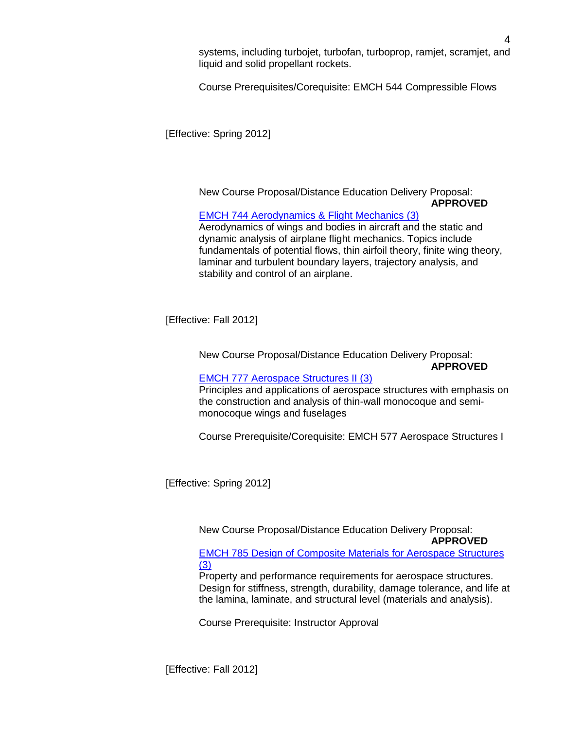systems, including turbojet, turbofan, turboprop, ramjet, scramjet, and liquid and solid propellant rockets.

Course Prerequisites/Corequisite: EMCH 544 Compressible Flows

[Effective: Spring 2012]

New Course Proposal/Distance Education Delivery Proposal: **APPROVED**

## [EMCH 744 Aerodynamics & Flight Mechanics \(3\)](http://gradschool.sc.edu/gradcouncil/curr_docs/NCPEMCH744_201141.pdf)

Aerodynamics of wings and bodies in aircraft and the static and dynamic analysis of airplane flight mechanics. Topics include fundamentals of potential flows, thin airfoil theory, finite wing theory, laminar and turbulent boundary layers, trajectory analysis, and stability and control of an airplane.

[Effective: Fall 2012]

New Course Proposal/Distance Education Delivery Proposal:

## **APPROVED**

## [EMCH 777 Aerospace Structures II \(3\)](http://gradschool.sc.edu/gradcouncil/curr_docs/NCPEMCH777_201141.pdf)

Principles and applications of aerospace structures with emphasis on the construction and analysis of thin-wall monocoque and semimonocoque wings and fuselages

Course Prerequisite/Corequisite: EMCH 577 Aerospace Structures I

[Effective: Spring 2012]

New Course Proposal/Distance Education Delivery Proposal: **APPROVED**

[EMCH 785 Design of Composite Materials for Aerospace Structures](http://gradschool.sc.edu/gradcouncil/curr_docs/NCPEMCH785_201141.pdf)  [\(3\)](http://gradschool.sc.edu/gradcouncil/curr_docs/NCPEMCH785_201141.pdf)

Property and performance requirements for aerospace structures. Design for stiffness, strength, durability, damage tolerance, and life at the lamina, laminate, and structural level (materials and analysis).

Course Prerequisite: Instructor Approval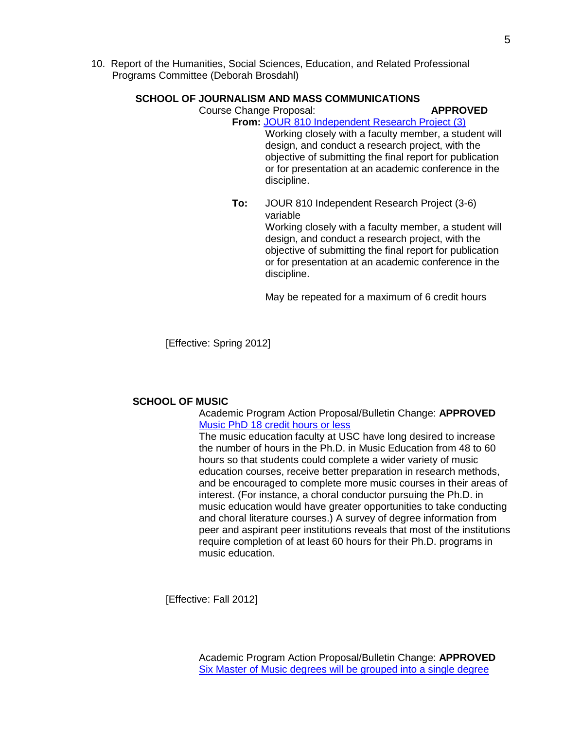10. Report of the Humanities, Social Sciences, Education, and Related Professional Programs Committee (Deborah Brosdahl)

## **SCHOOL OF JOURNALISM AND MASS COMMUNICATIONS**

Course Change Proposal: **APPROVED**

**From:** [JOUR 810 Independent Research Project](http://gradschool.sc.edu/gradcouncil/curr_docs/CCPJOUR810_201141.pdf) (3)

Working closely with a faculty member, a student will design, and conduct a research project, with the objective of submitting the final report for publication or for presentation at an academic conference in the discipline.

**To:** JOUR 810 Independent Research Project (3-6) variable Working closely with a faculty member, a student will design, and conduct a research project, with the objective of submitting the final report for publication or for presentation at an academic conference in the discipline.

May be repeated for a maximum of 6 credit hours

[Effective: Spring 2012]

## **SCHOOL OF MUSIC**

Academic Program Action Proposal/Bulletin Change: **APPROVED** [Music PhD 18 credit hours or less](http://gradschool.sc.edu/gradcouncil/curr_docs/APAMUSCPHD18_201141.pdf)

The music education faculty at USC have long desired to increase the number of hours in the Ph.D. in Music Education from 48 to 60 hours so that students could complete a wider variety of music education courses, receive better preparation in research methods, and be encouraged to complete more music courses in their areas of interest. (For instance, a choral conductor pursuing the Ph.D. in music education would have greater opportunities to take conducting and choral literature courses.) A survey of degree information from peer and aspirant peer institutions reveals that most of the institutions require completion of at least 60 hours for their Ph.D. programs in music education.

[Effective: Fall 2012]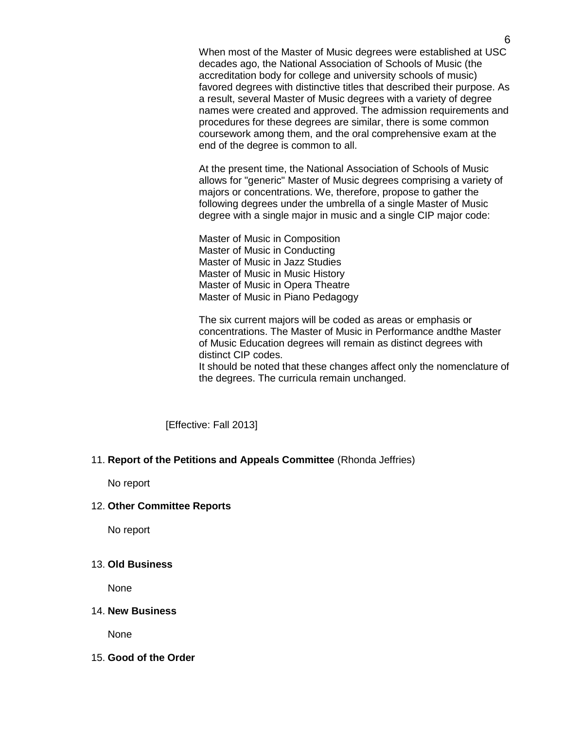When most of the Master of Music degrees were established at USC decades ago, the National Association of Schools of Music (the accreditation body for college and university schools of music) favored degrees with distinctive titles that described their purpose. As a result, several Master of Music degrees with a variety of degree names were created and approved. The admission requirements and procedures for these degrees are similar, there is some common coursework among them, and the oral comprehensive exam at the end of the degree is common to all.

At the present time, the National Association of Schools of Music allows for "generic" Master of Music degrees comprising a variety of majors or concentrations. We, therefore, propose to gather the following degrees under the umbrella of a single Master of Music degree with a single major in music and a single CIP major code:

Master of Music in Composition Master of Music in Conducting Master of Music in Jazz Studies Master of Music in Music History Master of Music in Opera Theatre Master of Music in Piano Pedagogy

The six current majors will be coded as areas or emphasis or concentrations. The Master of Music in Performance andthe Master of Music Education degrees will remain as distinct degrees with distinct CIP codes.

It should be noted that these changes affect only the nomenclature of the degrees. The curricula remain unchanged.

[Effective: Fall 2013]

#### 11. **Report of the Petitions and Appeals Committee** (Rhonda Jeffries)

No report

## 12. **Other Committee Reports**

No report

## 13. **Old Business**

None

## 14. **New Business**

None

## 15. **Good of the Order**